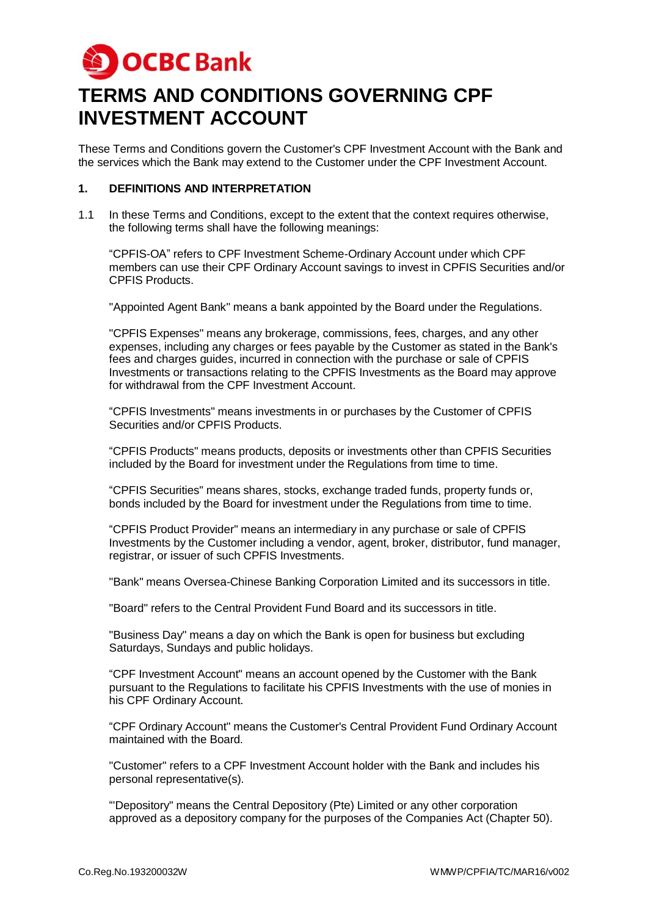

# **TERMS AND CONDITIONS GOVERNING CPF INVESTMENT ACCOUNT**

These Terms and Conditions govern the Customer's CPF Investment Account with the Bank and the services which the Bank may extend to the Customer under the CPF Investment Account.

## **1. DEFINITIONS AND INTERPRETATION**

1.1 In these Terms and Conditions, except to the extent that the context requires otherwise, the following terms shall have the following meanings:

"CPFIS-OA" refers to CPF Investment Scheme-Ordinary Account under which CPF members can use their CPF Ordinary Account savings to invest in CPFIS Securities and/or CPFIS Products.

"Appointed Agent Bank" means a bank appointed by the Board under the Regulations.

"CPFIS Expenses" means any brokerage, commissions, fees, charges, and any other expenses, including any charges or fees payable by the Customer as stated in the Bank's fees and charges guides, incurred in connection with the purchase or sale of CPFIS Investments or transactions relating to the CPFIS Investments as the Board may approve for withdrawal from the CPF Investment Account.

"CPFIS Investments" means investments in or purchases by the Customer of CPFIS Securities and/or CPFIS Products.

"CPFIS Products" means products, deposits or investments other than CPFIS Securities included by the Board for investment under the Regulations from time to time.

"CPFIS Securities" means shares, stocks, exchange traded funds, property funds or, bonds included by the Board for investment under the Regulations from time to time.

"CPFIS Product Provider" means an intermediary in any purchase or sale of CPFIS Investments by the Customer including a vendor, agent, broker, distributor, fund manager, registrar, or issuer of such CPFIS Investments.

"Bank" means Oversea-Chinese Banking Corporation Limited and its successors in title.

"Board" refers to the Central Provident Fund Board and its successors in title.

"Business Day" means a day on which the Bank is open for business but excluding Saturdays, Sundays and public holidays.

"CPF Investment Account" means an account opened by the Customer with the Bank pursuant to the Regulations to facilitate his CPFIS Investments with the use of monies in his CPF Ordinary Account.

"CPF Ordinary Account" means the Customer's Central Provident Fund Ordinary Account maintained with the Board.

"Customer" refers to a CPF Investment Account holder with the Bank and includes his personal representative(s).

"'Depository" means the Central Depository (Pte) Limited or any other corporation approved as a depository company for the purposes of the Companies Act (Chapter 50).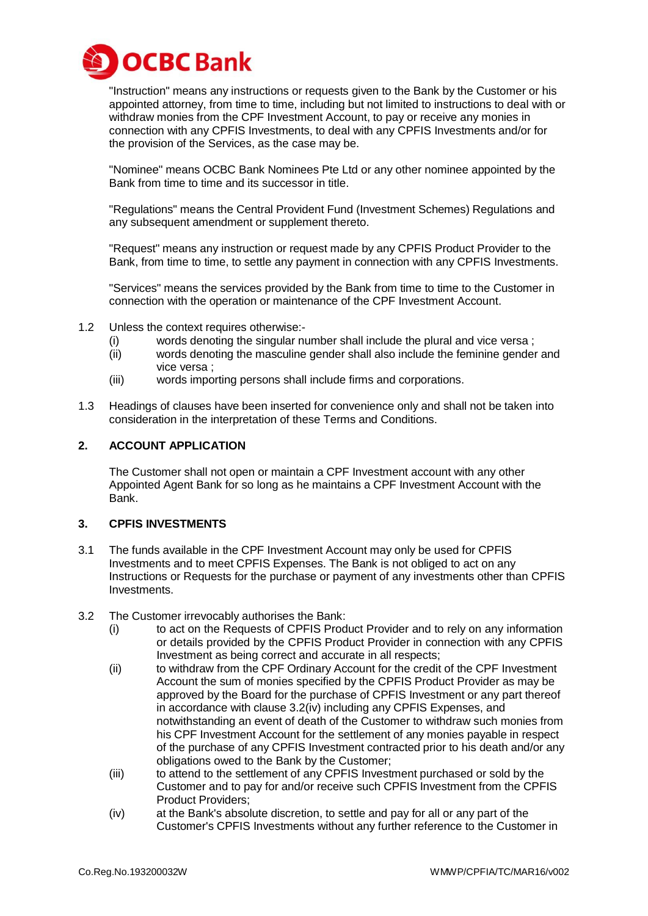

"Instruction" means any instructions or requests given to the Bank by the Customer or his appointed attorney, from time to time, including but not limited to instructions to deal with or withdraw monies from the CPF Investment Account, to pay or receive any monies in connection with any CPFIS Investments, to deal with any CPFIS Investments and/or for the provision of the Services, as the case may be.

"Nominee" means OCBC Bank Nominees Pte Ltd or any other nominee appointed by the Bank from time to time and its successor in title.

"Regulations" means the Central Provident Fund (Investment Schemes) Regulations and any subsequent amendment or supplement thereto.

"Request" means any instruction or request made by any CPFIS Product Provider to the Bank, from time to time, to settle any payment in connection with any CPFIS Investments.

"Services" means the services provided by the Bank from time to time to the Customer in connection with the operation or maintenance of the CPF Investment Account.

- 1.2 Unless the context requires otherwise:-
	- (i) words denoting the singular number shall include the plural and vice versa ;
	- (ii) words denoting the masculine gender shall also include the feminine gender and vice versa ;
	- (iii) words importing persons shall include firms and corporations.
- 1.3 Headings of clauses have been inserted for convenience only and shall not be taken into consideration in the interpretation of these Terms and Conditions.

#### **2. ACCOUNT APPLICATION**

The Customer shall not open or maintain a CPF Investment account with any other Appointed Agent Bank for so long as he maintains a CPF Investment Account with the Bank.

#### **3. CPFIS INVESTMENTS**

- 3.1 The funds available in the CPF Investment Account may only be used for CPFIS Investments and to meet CPFIS Expenses. The Bank is not obliged to act on any Instructions or Requests for the purchase or payment of any investments other than CPFIS Investments.
- 3.2 The Customer irrevocably authorises the Bank:
	- (i) to act on the Requests of CPFIS Product Provider and to rely on any information or details provided by the CPFIS Product Provider in connection with any CPFIS Investment as being correct and accurate in all respects;
	- (ii) to withdraw from the CPF Ordinary Account for the credit of the CPF Investment Account the sum of monies specified by the CPFIS Product Provider as may be approved by the Board for the purchase of CPFIS Investment or any part thereof in accordance with clause 3.2(iv) including any CPFIS Expenses, and notwithstanding an event of death of the Customer to withdraw such monies from his CPF Investment Account for the settlement of any monies payable in respect of the purchase of any CPFIS Investment contracted prior to his death and/or any obligations owed to the Bank by the Customer;
	- (iii) to attend to the settlement of any CPFIS Investment purchased or sold by the Customer and to pay for and/or receive such CPFIS Investment from the CPFIS Product Providers;
	- (iv) at the Bank's absolute discretion, to settle and pay for all or any part of the Customer's CPFIS Investments without any further reference to the Customer in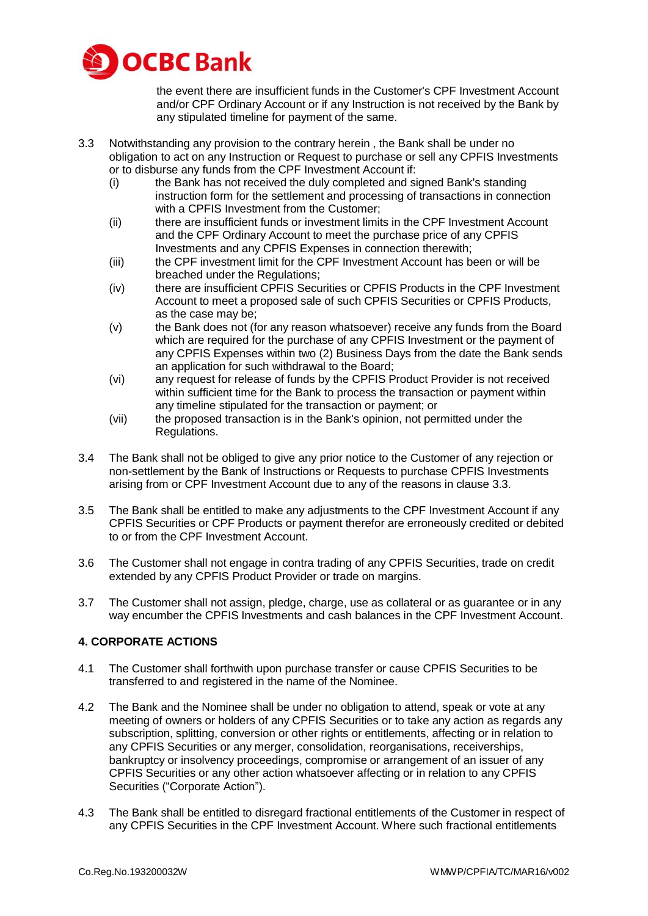

the event there are insufficient funds in the Customer's CPF Investment Account and/or CPF Ordinary Account or if any Instruction is not received by the Bank by any stipulated timeline for payment of the same.

- 3.3 Notwithstanding any provision to the contrary herein , the Bank shall be under no obligation to act on any Instruction or Request to purchase or sell any CPFIS Investments or to disburse any funds from the CPF Investment Account if:
	- (i) the Bank has not received the duly completed and signed Bank's standing instruction form for the settlement and processing of transactions in connection with a CPFIS Investment from the Customer;
	- (ii) there are insufficient funds or investment limits in the CPF Investment Account and the CPF Ordinary Account to meet the purchase price of any CPFIS Investments and any CPFIS Expenses in connection therewith;
	- (iii) the CPF investment limit for the CPF Investment Account has been or will be breached under the Regulations;
	- (iv) there are insufficient CPFIS Securities or CPFIS Products in the CPF Investment Account to meet a proposed sale of such CPFIS Securities or CPFIS Products, as the case may be;
	- (v) the Bank does not (for any reason whatsoever) receive any funds from the Board which are required for the purchase of any CPFIS Investment or the payment of any CPFIS Expenses within two (2) Business Days from the date the Bank sends an application for such withdrawal to the Board;
	- (vi) any request for release of funds by the CPFIS Product Provider is not received within sufficient time for the Bank to process the transaction or payment within any timeline stipulated for the transaction or payment; or
	- (vii) the proposed transaction is in the Bank's opinion, not permitted under the Regulations.
- 3.4 The Bank shall not be obliged to give any prior notice to the Customer of any rejection or non-settlement by the Bank of Instructions or Requests to purchase CPFIS Investments arising from or CPF Investment Account due to any of the reasons in clause 3.3.
- 3.5 The Bank shall be entitled to make any adjustments to the CPF Investment Account if any CPFIS Securities or CPF Products or payment therefor are erroneously credited or debited to or from the CPF Investment Account.
- 3.6 The Customer shall not engage in contra trading of any CPFIS Securities, trade on credit extended by any CPFIS Product Provider or trade on margins.
- 3.7 The Customer shall not assign, pledge, charge, use as collateral or as guarantee or in any way encumber the CPFIS Investments and cash balances in the CPF Investment Account.

# **4. CORPORATE ACTIONS**

- 4.1 The Customer shall forthwith upon purchase transfer or cause CPFIS Securities to be transferred to and registered in the name of the Nominee.
- 4.2 The Bank and the Nominee shall be under no obligation to attend, speak or vote at any meeting of owners or holders of any CPFIS Securities or to take any action as regards any subscription, splitting, conversion or other rights or entitlements, affecting or in relation to any CPFIS Securities or any merger, consolidation, reorganisations, receiverships, bankruptcy or insolvency proceedings, compromise or arrangement of an issuer of any CPFIS Securities or any other action whatsoever affecting or in relation to any CPFIS Securities ("Corporate Action").
- 4.3 The Bank shall be entitled to disregard fractional entitlements of the Customer in respect of any CPFIS Securities in the CPF Investment Account. Where such fractional entitlements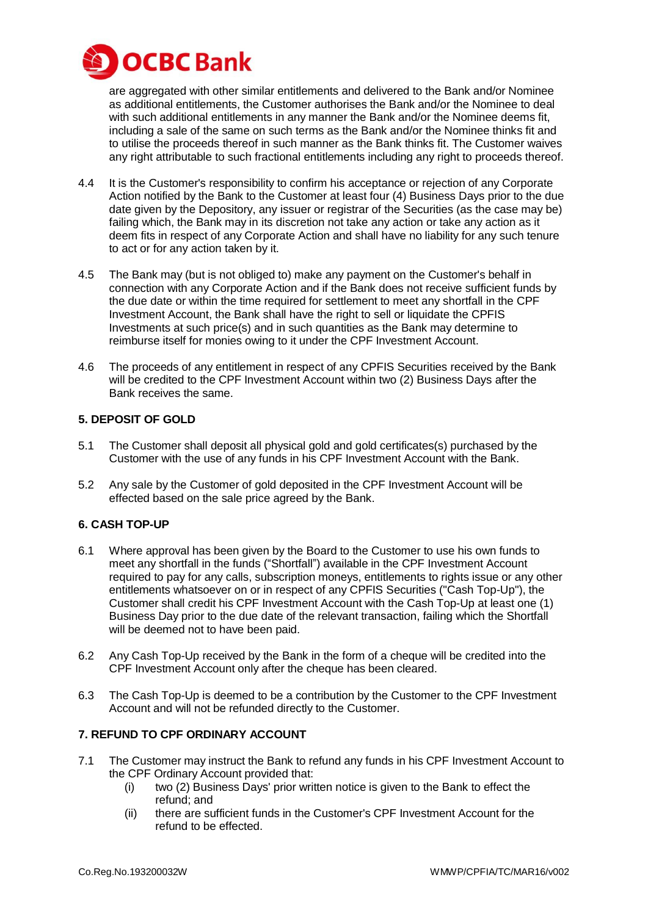

are aggregated with other similar entitlements and delivered to the Bank and/or Nominee as additional entitlements, the Customer authorises the Bank and/or the Nominee to deal with such additional entitlements in any manner the Bank and/or the Nominee deems fit, including a sale of the same on such terms as the Bank and/or the Nominee thinks fit and to utilise the proceeds thereof in such manner as the Bank thinks fit. The Customer waives any right attributable to such fractional entitlements including any right to proceeds thereof.

- 4.4 It is the Customer's responsibility to confirm his acceptance or rejection of any Corporate Action notified by the Bank to the Customer at least four (4) Business Days prior to the due date given by the Depository, any issuer or registrar of the Securities (as the case may be) failing which, the Bank may in its discretion not take any action or take any action as it deem fits in respect of any Corporate Action and shall have no liability for any such tenure to act or for any action taken by it.
- 4.5 The Bank may (but is not obliged to) make any payment on the Customer's behalf in connection with any Corporate Action and if the Bank does not receive sufficient funds by the due date or within the time required for settlement to meet any shortfall in the CPF Investment Account, the Bank shall have the right to sell or liquidate the CPFIS Investments at such price(s) and in such quantities as the Bank may determine to reimburse itself for monies owing to it under the CPF Investment Account.
- 4.6 The proceeds of any entitlement in respect of any CPFIS Securities received by the Bank will be credited to the CPF Investment Account within two (2) Business Days after the Bank receives the same.

## **5. DEPOSIT OF GOLD**

- 5.1 The Customer shall deposit all physical gold and gold certificates(s) purchased by the Customer with the use of any funds in his CPF Investment Account with the Bank.
- 5.2 Any sale by the Customer of gold deposited in the CPF Investment Account will be effected based on the sale price agreed by the Bank.

# **6. CASH TOP-UP**

- 6.1 Where approval has been given by the Board to the Customer to use his own funds to meet any shortfall in the funds ("Shortfall") available in the CPF Investment Account required to pay for any calls, subscription moneys, entitlements to rights issue or any other entitlements whatsoever on or in respect of any CPFIS Securities ("Cash Top-Up"), the Customer shall credit his CPF Investment Account with the Cash Top-Up at least one (1) Business Day prior to the due date of the relevant transaction, failing which the Shortfall will be deemed not to have been paid.
- 6.2 Any Cash Top-Up received by the Bank in the form of a cheque will be credited into the CPF Investment Account only after the cheque has been cleared.
- 6.3 The Cash Top-Up is deemed to be a contribution by the Customer to the CPF Investment Account and will not be refunded directly to the Customer.

# **7. REFUND TO CPF ORDINARY ACCOUNT**

- 7.1 The Customer may instruct the Bank to refund any funds in his CPF Investment Account to the CPF Ordinary Account provided that:
	- (i) two (2) Business Days' prior written notice is given to the Bank to effect the refund; and
	- (ii) there are sufficient funds in the Customer's CPF Investment Account for the refund to be effected.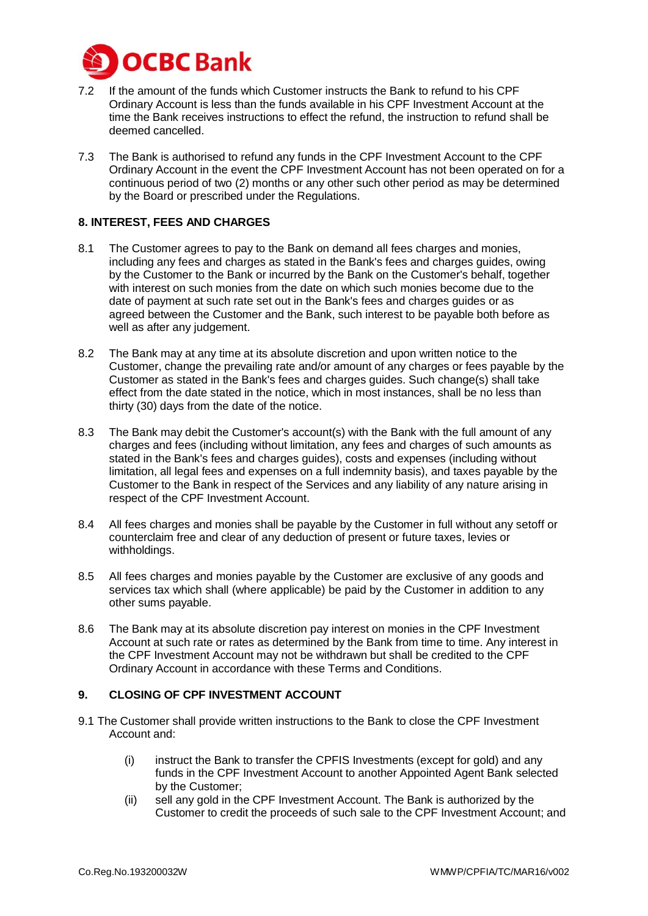

- 7.2 If the amount of the funds which Customer instructs the Bank to refund to his CPF Ordinary Account is less than the funds available in his CPF Investment Account at the time the Bank receives instructions to effect the refund, the instruction to refund shall be deemed cancelled.
- 7.3 The Bank is authorised to refund any funds in the CPF Investment Account to the CPF Ordinary Account in the event the CPF Investment Account has not been operated on for a continuous period of two (2) months or any other such other period as may be determined by the Board or prescribed under the Regulations.

## **8. INTEREST, FEES AND CHARGES**

- 8.1 The Customer agrees to pay to the Bank on demand all fees charges and monies, including any fees and charges as stated in the Bank's fees and charges guides, owing by the Customer to the Bank or incurred by the Bank on the Customer's behalf, together with interest on such monies from the date on which such monies become due to the date of payment at such rate set out in the Bank's fees and charges guides or as agreed between the Customer and the Bank, such interest to be payable both before as well as after any judgement.
- 8.2 The Bank may at any time at its absolute discretion and upon written notice to the Customer, change the prevailing rate and/or amount of any charges or fees payable by the Customer as stated in the Bank's fees and charges guides. Such change(s) shall take effect from the date stated in the notice, which in most instances, shall be no less than thirty (30) days from the date of the notice.
- 8.3 The Bank may debit the Customer's account(s) with the Bank with the full amount of any charges and fees (including without limitation, any fees and charges of such amounts as stated in the Bank's fees and charges guides), costs and expenses (including without limitation, all legal fees and expenses on a full indemnity basis), and taxes payable by the Customer to the Bank in respect of the Services and any liability of any nature arising in respect of the CPF Investment Account.
- 8.4 All fees charges and monies shall be payable by the Customer in full without any setoff or counterclaim free and clear of any deduction of present or future taxes, levies or withholdings.
- 8.5 All fees charges and monies payable by the Customer are exclusive of any goods and services tax which shall (where applicable) be paid by the Customer in addition to any other sums payable.
- 8.6 The Bank may at its absolute discretion pay interest on monies in the CPF Investment Account at such rate or rates as determined by the Bank from time to time. Any interest in the CPF Investment Account may not be withdrawn but shall be credited to the CPF Ordinary Account in accordance with these Terms and Conditions.

#### **9. CLOSING OF CPF INVESTMENT ACCOUNT**

- 9.1 The Customer shall provide written instructions to the Bank to close the CPF Investment Account and:
	- (i) instruct the Bank to transfer the CPFIS Investments (except for gold) and any funds in the CPF Investment Account to another Appointed Agent Bank selected by the Customer;
	- (ii) sell any gold in the CPF Investment Account. The Bank is authorized by the Customer to credit the proceeds of such sale to the CPF Investment Account; and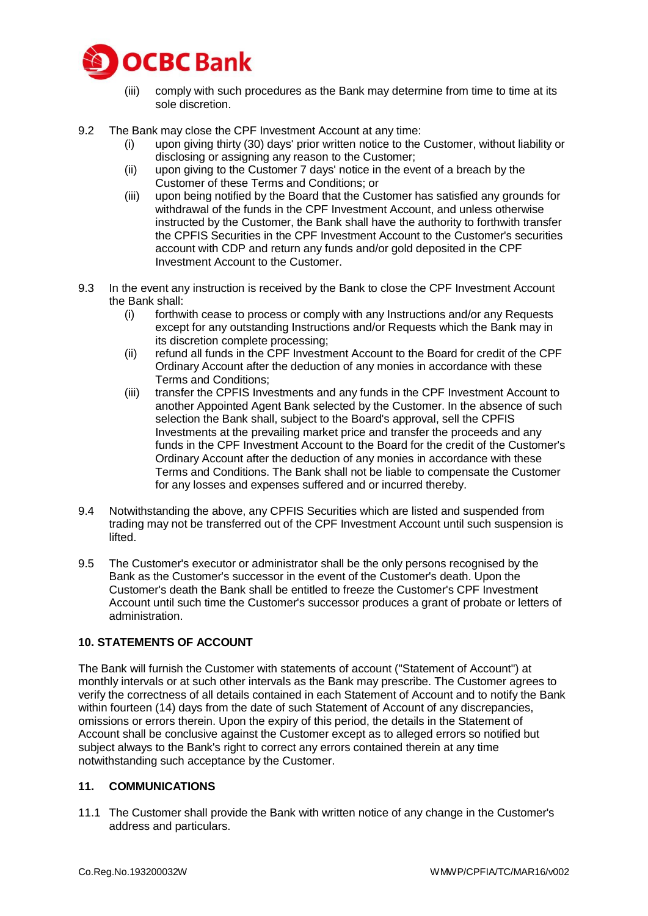

- (iii) comply with such procedures as the Bank may determine from time to time at its sole discretion.
- 9.2 The Bank may close the CPF Investment Account at any time:
	- (i) upon giving thirty (30) days' prior written notice to the Customer, without liability or disclosing or assigning any reason to the Customer;
	- (ii) upon giving to the Customer 7 days' notice in the event of a breach by the Customer of these Terms and Conditions; or
	- (iii) upon being notified by the Board that the Customer has satisfied any grounds for withdrawal of the funds in the CPF Investment Account, and unless otherwise instructed by the Customer, the Bank shall have the authority to forthwith transfer the CPFIS Securities in the CPF Investment Account to the Customer's securities account with CDP and return any funds and/or gold deposited in the CPF Investment Account to the Customer.
- 9.3 In the event any instruction is received by the Bank to close the CPF Investment Account the Bank shall:
	- (i) forthwith cease to process or comply with any Instructions and/or any Requests except for any outstanding Instructions and/or Requests which the Bank may in its discretion complete processing;
	- (ii) refund all funds in the CPF Investment Account to the Board for credit of the CPF Ordinary Account after the deduction of any monies in accordance with these Terms and Conditions;
	- (iii) transfer the CPFIS Investments and any funds in the CPF Investment Account to another Appointed Agent Bank selected by the Customer. In the absence of such selection the Bank shall, subject to the Board's approval, sell the CPFIS Investments at the prevailing market price and transfer the proceeds and any funds in the CPF Investment Account to the Board for the credit of the Customer's Ordinary Account after the deduction of any monies in accordance with these Terms and Conditions. The Bank shall not be liable to compensate the Customer for any losses and expenses suffered and or incurred thereby.
- 9.4 Notwithstanding the above, any CPFIS Securities which are listed and suspended from trading may not be transferred out of the CPF Investment Account until such suspension is lifted.
- 9.5 The Customer's executor or administrator shall be the only persons recognised by the Bank as the Customer's successor in the event of the Customer's death. Upon the Customer's death the Bank shall be entitled to freeze the Customer's CPF Investment Account until such time the Customer's successor produces a grant of probate or letters of administration.

# **10. STATEMENTS OF ACCOUNT**

The Bank will furnish the Customer with statements of account ("Statement of Account") at monthly intervals or at such other intervals as the Bank may prescribe. The Customer agrees to verify the correctness of all details contained in each Statement of Account and to notify the Bank within fourteen (14) days from the date of such Statement of Account of any discrepancies, omissions or errors therein. Upon the expiry of this period, the details in the Statement of Account shall be conclusive against the Customer except as to alleged errors so notified but subject always to the Bank's right to correct any errors contained therein at any time notwithstanding such acceptance by the Customer.

#### **11. COMMUNICATIONS**

11.1 The Customer shall provide the Bank with written notice of any change in the Customer's address and particulars.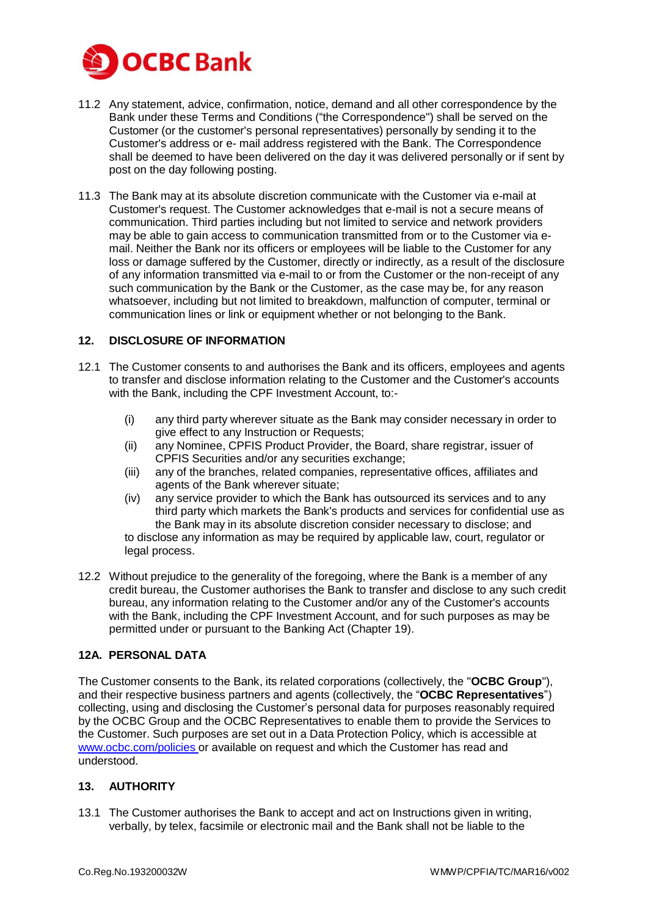

- 11.2 Any statement, advice, confirmation, notice, demand and all other correspondence by the Bank under these Terms and Conditions ("the Correspondence") shall be served on the Customer (or the customer's personal representatives) personally by sending it to the Customer's address or e- mail address registered with the Bank. The Correspondence shall be deemed to have been delivered on the day it was delivered personally or if sent by post on the day following posting.
- 11.3 The Bank may at its absolute discretion communicate with the Customer via e-mail at Customer's request. The Customer acknowledges that e-mail is not a secure means of communication. Third parties including but not limited to service and network providers may be able to gain access to communication transmitted from or to the Customer via email. Neither the Bank nor its officers or employees will be liable to the Customer for any loss or damage suffered by the Customer, directly or indirectly, as a result of the disclosure of any information transmitted via e-mail to or from the Customer or the non-receipt of any such communication by the Bank or the Customer, as the case may be, for any reason whatsoever, including but not limited to breakdown, malfunction of computer, terminal or communication lines or link or equipment whether or not belonging to the Bank.

## **12. DISCLOSURE OF INFORMATION**

- 12.1 The Customer consents to and authorises the Bank and its officers, employees and agents to transfer and disclose information relating to the Customer and the Customer's accounts with the Bank, including the CPF Investment Account, to:-
	- (i) any third party wherever situate as the Bank may consider necessary in order to give effect to any Instruction or Requests;
	- (ii) any Nominee, CPFIS Product Provider, the Board, share registrar, issuer of CPFIS Securities and/or any securities exchange;
	- (iii) any of the branches, related companies, representative offices, affiliates and agents of the Bank wherever situate;
	- (iv) any service provider to which the Bank has outsourced its services and to any third party which markets the Bank's products and services for confidential use as the Bank may in its absolute discretion consider necessary to disclose; and to disclose any information as may be required by applicable law, court, regulator or legal process.
- 12.2 Without prejudice to the generality of the foregoing, where the Bank is a member of any credit bureau, the Customer authorises the Bank to transfer and disclose to any such credit bureau, any information relating to the Customer and/or any of the Customer's accounts with the Bank, including the CPF Investment Account, and for such purposes as may be permitted under or pursuant to the Banking Act (Chapter 19).

#### **12A. PERSONAL DATA**

The Customer consents to the Bank, its related corporations (collectively, the "**OCBC Group**"), and their respective business partners and agents (collectively, the "**OCBC Representatives**") collecting, using and disclosing the Customer's personal data for purposes reasonably required by the OCBC Group and the OCBC Representatives to enable them to provide the Services to the Customer. Such purposes are set out in a Data Protection Policy, which is accessible at [www.ocbc.com/policies](http://www.ocbc.com/policies) or available on request and which the Customer has read and understood.

#### **13. AUTHORITY**

13.1 The Customer authorises the Bank to accept and act on Instructions given in writing, verbally, by telex, facsimile or electronic mail and the Bank shall not be liable to the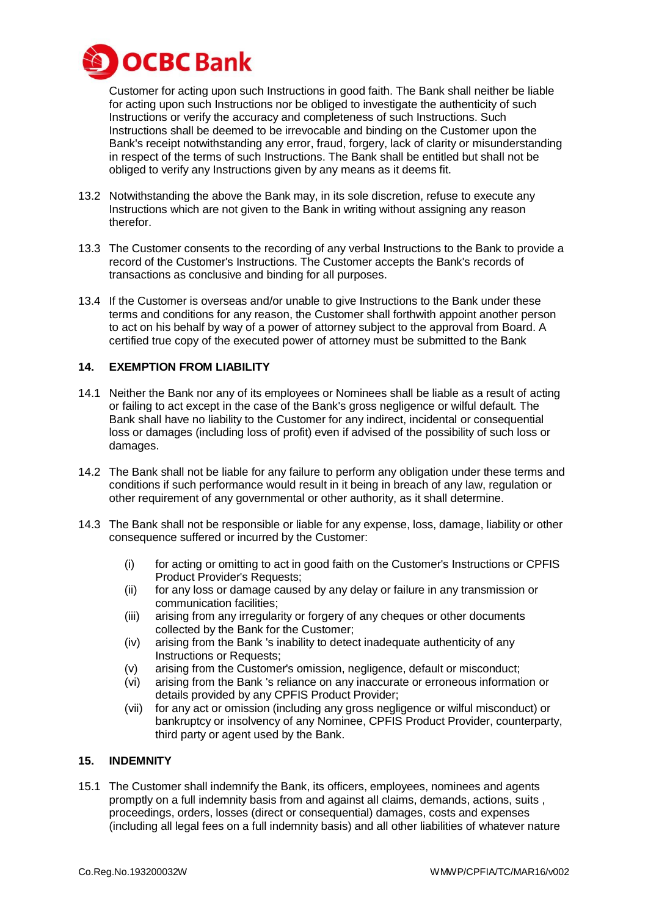

Customer for acting upon such Instructions in good faith. The Bank shall neither be liable for acting upon such Instructions nor be obliged to investigate the authenticity of such Instructions or verify the accuracy and completeness of such Instructions. Such Instructions shall be deemed to be irrevocable and binding on the Customer upon the Bank's receipt notwithstanding any error, fraud, forgery, lack of clarity or misunderstanding in respect of the terms of such Instructions. The Bank shall be entitled but shall not be obliged to verify any Instructions given by any means as it deems fit.

- 13.2 Notwithstanding the above the Bank may, in its sole discretion, refuse to execute any Instructions which are not given to the Bank in writing without assigning any reason therefor.
- 13.3 The Customer consents to the recording of any verbal Instructions to the Bank to provide a record of the Customer's Instructions. The Customer accepts the Bank's records of transactions as conclusive and binding for all purposes.
- 13.4 If the Customer is overseas and/or unable to give Instructions to the Bank under these terms and conditions for any reason, the Customer shall forthwith appoint another person to act on his behalf by way of a power of attorney subject to the approval from Board. A certified true copy of the executed power of attorney must be submitted to the Bank

#### **14. EXEMPTION FROM LIABILITY**

- 14.1 Neither the Bank nor any of its employees or Nominees shall be liable as a result of acting or failing to act except in the case of the Bank's gross negligence or wilful default. The Bank shall have no liability to the Customer for any indirect, incidental or consequential loss or damages (including loss of profit) even if advised of the possibility of such loss or damages.
- 14.2 The Bank shall not be liable for any failure to perform any obligation under these terms and conditions if such performance would result in it being in breach of any law, regulation or other requirement of any governmental or other authority, as it shall determine.
- 14.3 The Bank shall not be responsible or liable for any expense, loss, damage, liability or other consequence suffered or incurred by the Customer:
	- (i) for acting or omitting to act in good faith on the Customer's Instructions or CPFIS Product Provider's Requests;
	- (ii) for any loss or damage caused by any delay or failure in any transmission or communication facilities;
	- (iii) arising from any irregularity or forgery of any cheques or other documents collected by the Bank for the Customer;
	- (iv) arising from the Bank 's inability to detect inadequate authenticity of any Instructions or Requests;
	- (v) arising from the Customer's omission, negligence, default or misconduct;
	- (vi) arising from the Bank 's reliance on any inaccurate or erroneous information or details provided by any CPFIS Product Provider;
	- (vii) for any act or omission (including any gross negligence or wilful misconduct) or bankruptcy or insolvency of any Nominee, CPFIS Product Provider, counterparty, third party or agent used by the Bank.

#### **15. INDEMNITY**

15.1 The Customer shall indemnify the Bank, its officers, employees, nominees and agents promptly on a full indemnity basis from and against all claims, demands, actions, suits , proceedings, orders, losses (direct or consequential) damages, costs and expenses (including all legal fees on a full indemnity basis) and all other liabilities of whatever nature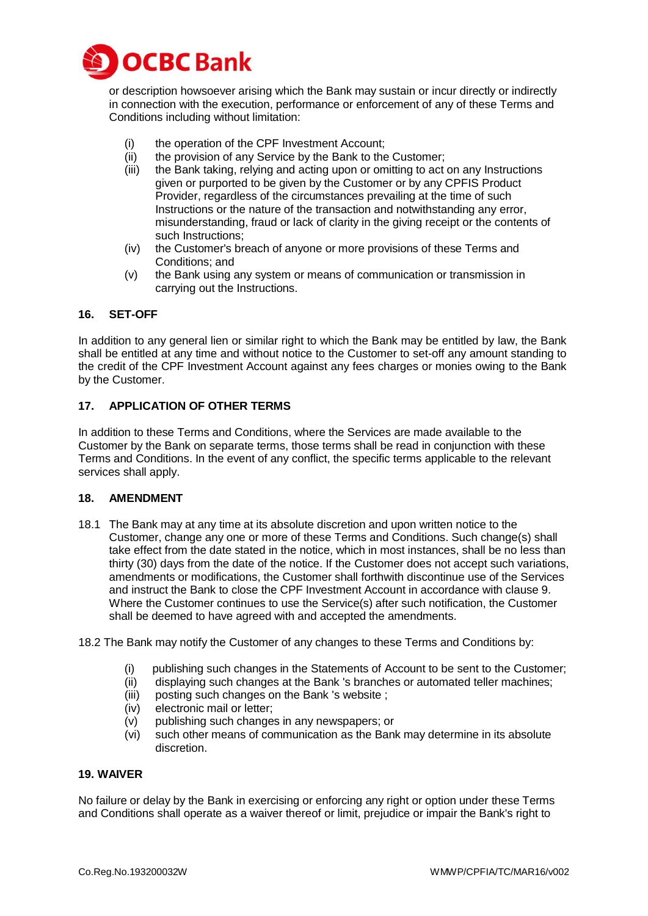

or description howsoever arising which the Bank may sustain or incur directly or indirectly in connection with the execution, performance or enforcement of any of these Terms and Conditions including without limitation:

- (i) the operation of the CPF Investment Account;
- (ii) the provision of any Service by the Bank to the Customer;
- (iii) the Bank taking, relying and acting upon or omitting to act on any Instructions given or purported to be given by the Customer or by any CPFIS Product Provider, regardless of the circumstances prevailing at the time of such Instructions or the nature of the transaction and notwithstanding any error, misunderstanding, fraud or lack of clarity in the giving receipt or the contents of such Instructions;
- (iv) the Customer's breach of anyone or more provisions of these Terms and Conditions; and
- (v) the Bank using any system or means of communication or transmission in carrying out the Instructions.

## **16. SET-OFF**

In addition to any general lien or similar right to which the Bank may be entitled by law, the Bank shall be entitled at any time and without notice to the Customer to set-off any amount standing to the credit of the CPF Investment Account against any fees charges or monies owing to the Bank by the Customer.

## **17. APPLICATION OF OTHER TERMS**

In addition to these Terms and Conditions, where the Services are made available to the Customer by the Bank on separate terms, those terms shall be read in conjunction with these Terms and Conditions. In the event of any conflict, the specific terms applicable to the relevant services shall apply.

#### **18. AMENDMENT**

- 18.1 The Bank may at any time at its absolute discretion and upon written notice to the Customer, change any one or more of these Terms and Conditions. Such change(s) shall take effect from the date stated in the notice, which in most instances, shall be no less than thirty (30) days from the date of the notice. If the Customer does not accept such variations, amendments or modifications, the Customer shall forthwith discontinue use of the Services and instruct the Bank to close the CPF Investment Account in accordance with clause 9. Where the Customer continues to use the Service(s) after such notification, the Customer shall be deemed to have agreed with and accepted the amendments.
- 18.2 The Bank may notify the Customer of any changes to these Terms and Conditions by:
	- (i) publishing such changes in the Statements of Account to be sent to the Customer;
	- (ii) displaying such changes at the Bank 's branches or automated teller machines;
	- (iii) posting such changes on the Bank 's website ;
	- (iv) electronic mail or letter;
	- (v) publishing such changes in any newspapers; or
	- (vi) such other means of communication as the Bank may determine in its absolute discretion.

#### **19. WAIVER**

No failure or delay by the Bank in exercising or enforcing any right or option under these Terms and Conditions shall operate as a waiver thereof or limit, prejudice or impair the Bank's right to